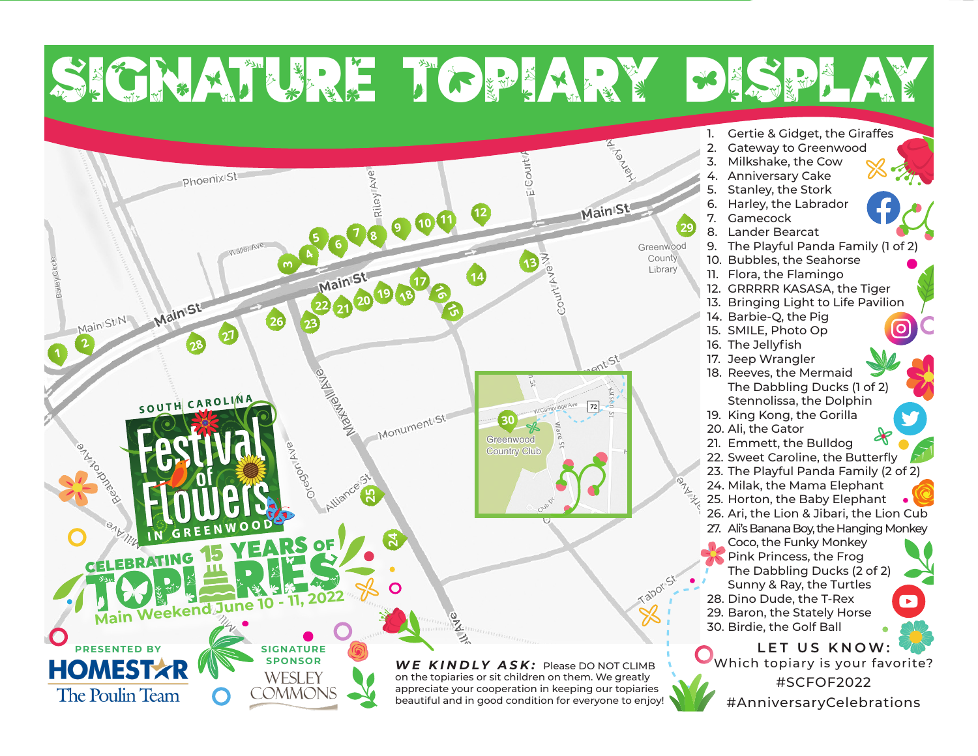